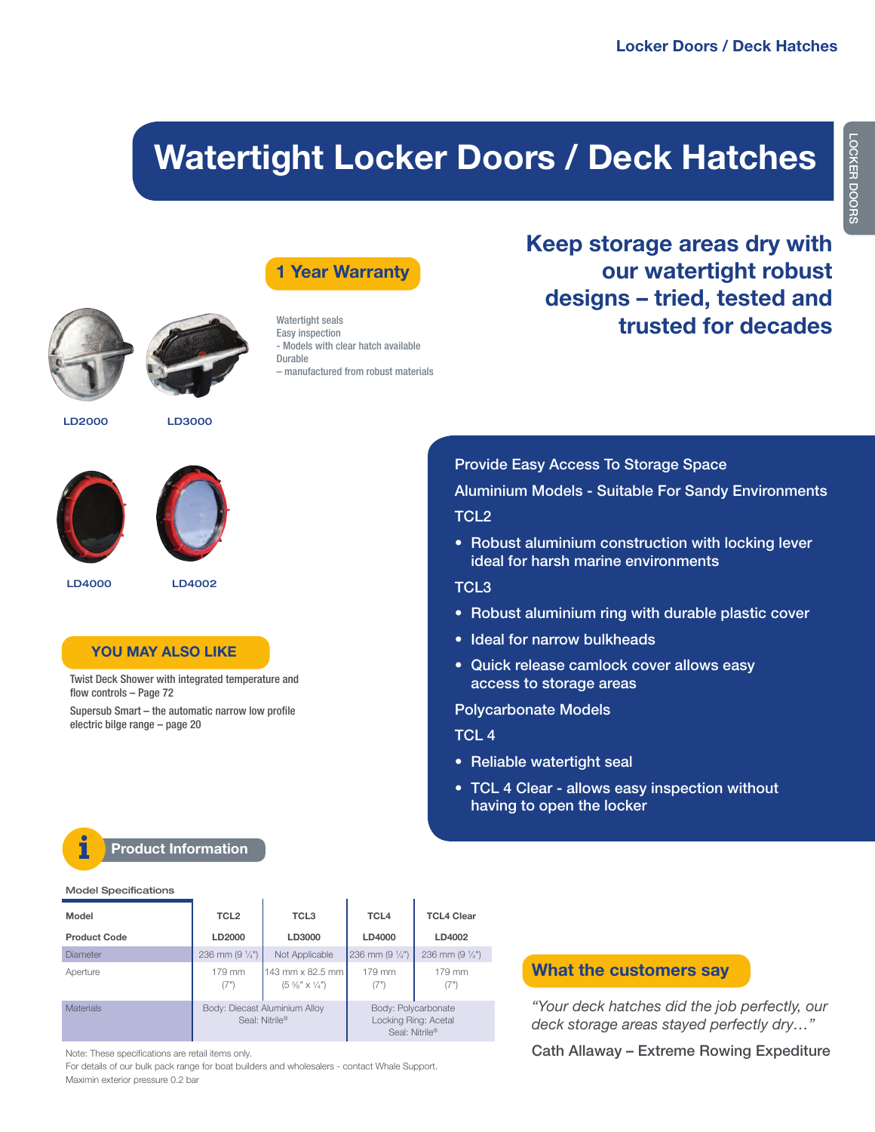# **Watertight Locker Doors / Deck Hatches**





- Models with clear hatch available

– manufactured from robust materials

Watertight seals Easy inspection

Durable





**LD2000 LD3000**





**LD4000 LD4002**

### **YOU MAY ALSO LIKE**

Twist Deck Shower with integrated temperature and flow controls – Page 72

Supersub Smart – the automatic narrow low profile electric bilge range – page 20

# **Keep storage areas dry with our watertight robust designs – tried, tested and trusted for decades**

**Provide Easy Access To Storage Space**

**Aluminium Models - Suitable For Sandy Environments TCL2**

**• Robust aluminium construction with locking lever ideal for harsh marine environments**

### **TCL3**

- **• Robust aluminium ring with durable plastic cover**
- **• Ideal for narrow bulkheads**
- **• Quick release camlock cover allows easy access to storage areas**

**Polycarbonate Models**

#### **TCL 4**

- **• Reliable watertight seal**
- **• TCL 4 Clear - allows easy inspection without having to open the locker**

#### **Product Information i**

|  | <b>Model Specifications</b> |
|--|-----------------------------|
|--|-----------------------------|

| Model               | TCL <sub>2</sub>                                | TCL <sub>3</sub>                                         | TCL <sub>4</sub>                                              | <b>TCL4 Clear</b>       |
|---------------------|-------------------------------------------------|----------------------------------------------------------|---------------------------------------------------------------|-------------------------|
| <b>Product Code</b> | LD2000                                          | LD3000                                                   | LD4000                                                        | LD4002                  |
| Diameter            | 236 mm $(9\frac{1}{4})$                         | Not Applicable                                           | 236 mm $(9 \frac{1}{4})$                                      | 236 mm $(9\frac{1}{4})$ |
| Aperture            | 179 mm<br>(7")                                  | 143 mm x 82.5 mm<br>$(5\frac{5}{8}$ " x $\frac{1}{4}$ ") | 179 mm<br>(7")                                                | 179 mm<br>(7")          |
| <b>Materials</b>    | Body: Diecast Aluminium Alloy<br>Seal: Nitrile® |                                                          | Body: Polycarbonate<br>Locking Ring: Acetal<br>Seal: Nitrile® |                         |

Note: These specifications are retail items only.

For details of our bulk pack range for boat builders and wholesalers - contact Whale Support. Maximin exterior pressure 0.2 bar

## **What the customers say**

*"Your deck hatches did the job perfectly, our deck storage areas stayed perfectly dry…"*

**Cath Allaway – Extreme Rowing Expediture**